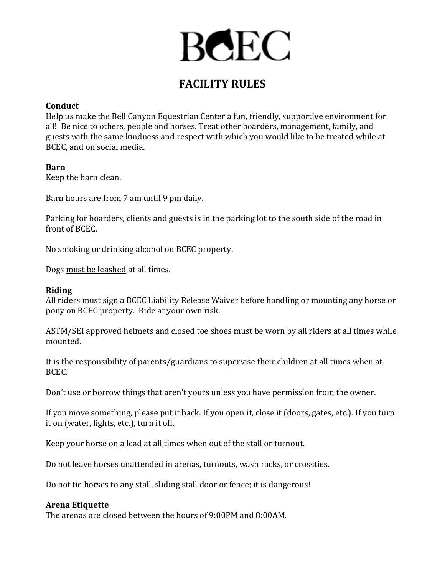# **BCEC**

# **FACILITY RULES**

# **Conduct**

Help us make the Bell Canyon Equestrian Center a fun, friendly, supportive environment for all! Be nice to others, people and horses. Treat other boarders, management, family, and guests with the same kindness and respect with which you would like to be treated while at BCEC, and on social media.

# **Barn**

Keep the barn clean.

Barn hours are from 7 am until 9 pm daily.

Parking for boarders, clients and guests is in the parking lot to the south side of the road in front of BCEC.

No smoking or drinking alcohol on BCEC property.

Dogs must be leashed at all times.

#### **Riding**

All riders must sign a BCEC Liability Release Waiver before handling or mounting any horse or pony on BCEC property. Ride at your own risk.

ASTM/SEI approved helmets and closed toe shoes must be worn by all riders at all times while mounted.

It is the responsibility of parents/guardians to supervise their children at all times when at BCEC.

Don't use or borrow things that aren't yours unless you have permission from the owner.

If you move something, please put it back. If you open it, close it (doors, gates, etc.). If you turn it on (water, lights, etc.), turn it off.

Keep your horse on a lead at all times when out of the stall or turnout.

Do not leave horses unattended in arenas, turnouts, wash racks, or crossties.

Do not tie horses to any stall, sliding stall door or fence; it is dangerous!

#### **Arena Etiquette**

The arenas are closed between the hours of 9:00PM and 8:00AM.